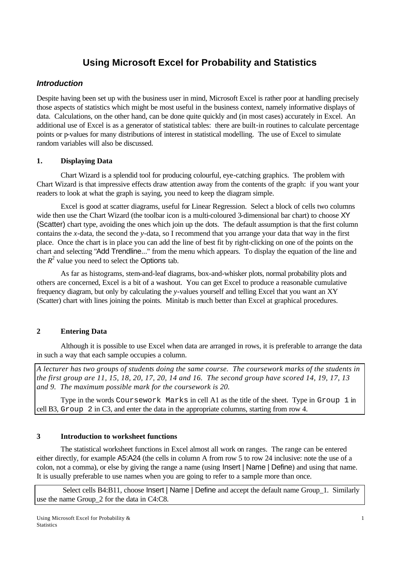# **Using Microsoft Excel for Probability and Statistics**

# *Introduction*

Despite having been set up with the business user in mind, Microsoft Excel is rather poor at handling precisely those aspects of statistics which might be most useful in the business context, namely informative displays of data. Calculations, on the other hand, can be done quite quickly and (in most cases) accurately in Excel. An additional use of Excel is as a generator of statistical tables: there are built-in routines to calculate percentage points or p-values for many distributions of interest in statistical modelling. The use of Excel to simulate random variables will also be discussed.

## **1. Displaying Data**

Chart Wizard is a splendid tool for producing colourful, eye-catching graphics. The problem with Chart Wizard is that impressive effects draw attention away from the contents of the graph: if you want your readers to look at what the graph is saying, you need to keep the diagram simple.

Excel is good at scatter diagrams, useful for Linear Regression. Select a block of cells two columns wide then use the Chart Wizard (the toolbar icon is a multi-coloured 3-dimensional bar chart) to choose XY (Scatter) chart type, avoiding the ones which join up the dots. The default assumption is that the first column contains the *x*-data, the second the *y*-data, so I recommend that you arrange your data that way in the first place. Once the chart is in place you can add the line of best fit by right-clicking on one of the points on the chart and selecting "Add Trendline..." from the menu which appears. To display the equation of the line and the  $R^2$  value you need to select the Options tab.

As far as histograms, stem-and-leaf diagrams, box-and-whisker plots, normal probability plots and others are concerned, Excel is a bit of a washout. You can get Excel to produce a reasonable cumulative frequency diagram, but only by calculating the *y*-values yourself and telling Excel that you want an XY (Scatter) chart with lines joining the points. Minitab is much better than Excel at graphical procedures.

# **2 Entering Data**

Although it is possible to use Excel when data are arranged in rows, it is preferable to arrange the data in such a way that each sample occupies a column.

*A lecturer has two groups of students doing the same course. The coursework marks of the students in the first group are 11, 15, 18, 20, 17, 20, 14 and 16. The second group have scored 14, 19, 17, 13 and 9. The maximum possible mark for the coursework is 20.*

Type in the words Coursework Marks in cell A1 as the title of the sheet. Type in Group 1 in cell B3, Group 2 in C3, and enter the data in the appropriate columns, starting from row 4.

# **3 Introduction to worksheet functions**

The statistical worksheet functions in Excel almost all work on ranges. The range can be entered either directly, for example A5:A24 (the cells in column A from row 5 to row 24 inclusive: note the use of a colon, not a comma), or else by giving the range a name (using Insert | Name | Define) and using that name. It is usually preferable to use names when you are going to refer to a sample more than once.

Select cells B4:B11, choose Insert | Name | Define and accept the default name Group 1. Similarly use the name Group\_2 for the data in C4:C8.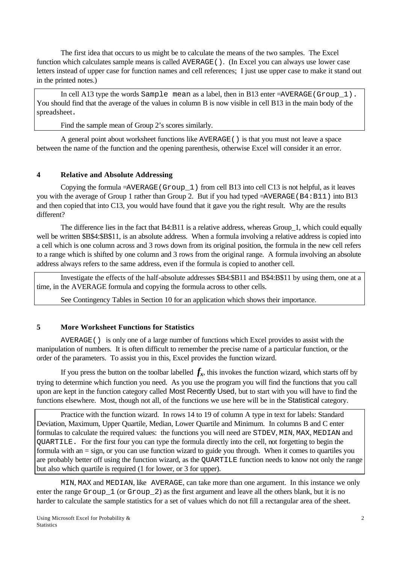The first idea that occurs to us might be to calculate the means of the two samples. The Excel function which calculates sample means is called AVERAGE(). (In Excel you can always use lower case letters instead of upper case for function names and cell references; I just use upper case to make it stand out in the printed notes.)

In cell A13 type the words Sample mean as a label, then in B13 enter =AVERAGE(Group\_1). You should find that the average of the values in column B is now visible in cell B13 in the main body of the spreadsheet.

Find the sample mean of Group 2's scores similarly.

A general point about worksheet functions like AVERAGE() is that you must not leave a space between the name of the function and the opening parenthesis, otherwise Excel will consider it an error.

## **4 Relative and Absolute Addressing**

Copying the formula  $=\angle AVERAGE$  (Group 1) from cell B13 into cell C13 is not helpful, as it leaves you with the average of Group 1 rather than Group 2. But if you had typed =AVERAGE(B4:B11) into B13 and then copied that into C13, you would have found that it gave you the right result. Why are the results different?

The difference lies in the fact that B4:B11 is a relative address, whereas Group\_1, which could equally well be written \$B\$4:\$B\$11, is an absolute address. When a formula involving a relative address is copied into a cell which is one column across and 3 rows down from its original position, the formula in the new cell refers to a range which is shifted by one column and 3 rows from the original range. A formula involving an absolute address always refers to the same address, even if the formula is copied to another cell.

Investigate the effects of the half-absolute addresses \$B4:\$B11 and B\$4:B\$11 by using them, one at a time, in the AVERAGE formula and copying the formula across to other cells.

See Contingency Tables in Section 10 for an application which shows their importance.

## **5 More Worksheet Functions for Statistics**

AVERAGE() is only one of a large number of functions which Excel provides to assist with the manipulation of numbers. It is often difficult to remember the precise name of a particular function, or the order of the parameters. To assist you in this, Excel provides the function wizard.

If you press the button on the toolbar labelled  $f_x$ , this invokes the function wizard, which starts off by trying to determine which function you need. As you use the program you will find the functions that you call upon are kept in the function category called Most Recently Used, but to start with you will have to find the functions elsewhere. Most, though not all, of the functions we use here will be in the Statistical category.

Practice with the function wizard. In rows 14 to 19 of column A type in text for labels: Standard Deviation, Maximum, Upper Quartile, Median, Lower Quartile and Minimum. In columns B and C enter formulas to calculate the required values: the functions you will need are STDEV, MIN, MAX, MEDIAN and QUARTILE. For the first four you can type the formula directly into the cell, not forgetting to begin the formula with an = sign, or you can use function wizard to guide you through. When it comes to quartiles you are probably better off using the function wizard, as the QUARTILE function needs to know not only the range but also which quartile is required (1 for lower, or 3 for upper).

MIN, MAX and MEDIAN, like AVERAGE, can take more than one argument. In this instance we only enter the range Group\_1 (or Group\_2) as the first argument and leave all the others blank, but it is no harder to calculate the sample statistics for a set of values which do not fill a rectangular area of the sheet.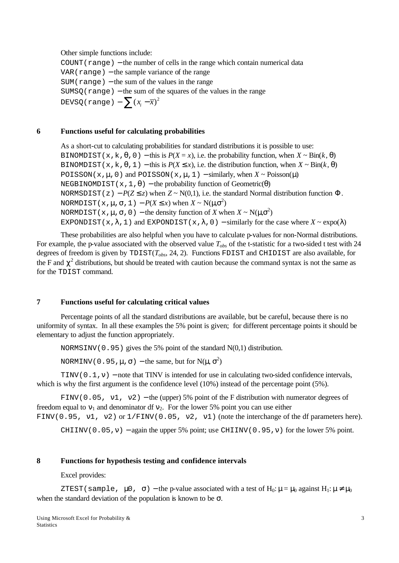Other simple functions include:  $COUNT(range)$  – the number of cells in the range which contain numerical data  $VAR(range) - the sample variance of the range$  $SUM(*range*) – the sum of the values in the range)$  $SUMSQ$ (range) – the sum of the squares of the values in the range DEVSQ(range) —  $\sum (x_i - \overline{x})^2$ 

#### **6 Functions useful for calculating probabilities**

As a short-cut to calculating probabilities for standard distributions it is possible to use: BINOMDIST( $x, k, \theta, 0$ ) − this is  $P(X = x)$ , i.e. the probability function, when  $X \sim Bin(k, \theta)$ BINOMDIST( $x, k, \theta, 1$ ) – this is  $P(X \le x)$ , i.e. the distribution function, when  $X \sim Bin(k, \theta)$ POISSON( $x, \mu, 0$ ) and POISSON( $x, \mu, 1$ ) – similarly, when  $X \sim \text{Poisson}(\mu)$ NEGBINOMDIST( $x, 1, \theta$ ) – the probability function of Geometric( $\theta$ ) NORMSDIST( $z$ ) − *P*( $Z \le z$ ) when  $Z \sim N(0,1)$ , i.e. the standard Normal distribution function  $\Phi$ . NORMDIST( $x$ ,  $\mu$ ,  $\sigma$ , 1) –  $P(X \leq x)$  when  $X \sim N(\mu, \sigma^2)$ NORMDIST( $x$ ,  $\mu$ ,  $\sigma$ , 0) – the density function of *X* when  $X \sim N(\mu, \sigma^2)$ EXPONDIST(x, $\lambda$ , 1) and EXPONDIST(x, $\lambda$ , 0) – similarly for the case where  $X \sim \exp(\lambda)$ 

These probabilities are also helpful when you have to calculate p-values for non-Normal distributions. For example, the p-value associated with the observed value *Tobs* of the t-statistic for a two-sided t test with 24 degrees of freedom is given by TDIST(*Tobs*, 24, 2). Functions FDIST and CHIDIST are also available, for the F and  $\chi^2$  distributions, but should be treated with caution because the command syntax is not the same as for the TDIST command.

#### **7 Functions useful for calculating critical values**

Percentage points of all the standard distributions are available, but be careful, because there is no uniformity of syntax. In all these examples the 5% point is given; for different percentage points it should be elementary to adjust the function appropriately.

NORMSINV(0.95) gives the 5% point of the standard N(0,1) distribution.

NORMINV(0.95, $\mu$ , $\sigma$ ) – the same, but for N( $\mu$ ,  $\sigma$ <sup>2</sup>)

TINV( $0.1, v$ ) – note that TINV is intended for use in calculating two-sided confidence intervals, which is why the first argument is the confidence level (10%) instead of the percentage point (5%).

FINV(0.05, v1, v2) – the (upper) 5% point of the F distribution with numerator degrees of freedom equal to  $v_1$  and denominator df  $v_2$ . For the lower 5% point you can use either FINV(0.95, v1, v2) or  $1/FINV(0.05, v2, v1)$  (note the interchange of the df parameters here).

CHIINV(0.05, v) – again the upper 5% point; use CHIINV(0.95, v) for the lower 5% point.

### **8 Functions for hypothesis testing and confidence intervals**

#### Excel provides:

ZTEST(sample,  $\mu$ 0,  $\sigma$ ) – the p-value associated with a test of H<sub>0</sub>:  $\mu = \mu_0$  against H<sub>1</sub>:  $\mu \neq \mu_0$ when the standard deviation of the population is known to be  $\sigma$ .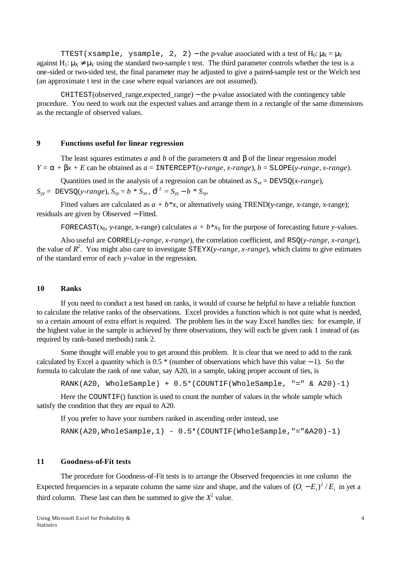TTEST(xsample, ysample, 2, 2) – the p-value associated with a test of  $H_0: \mu_X = \mu_Y$ against  $H_1: \mu_X \neq \mu_Y$  using the standard two-sample t test. The third parameter controls whether the test is a one-sided or two-sided test, the final parameter may be adjusted to give a paired-sample test or the Welch test (an approximate t test in the case where equal variances are not assumed).

CHITEST(observed\_range,expected\_range) − the p-value associated with the contingency table procedure. You need to work out the expected values and arrange them in a rectangle of the same dimensions as the rectangle of observed values.

## **9 Functions useful for linear regression**

The least squares estimates *a* and *b* of the parameters  $\alpha$  and  $\beta$  of the linear regression model  $Y = \alpha + \beta x + E$  can be obtained as  $a = \text{INTERCEPT}(y\text{-}range, x\text{-}range), b = \text{SLOPE}(y\text{-}range, x\text{-}range).$ 

Quantities used in the analysis of a regression can be obtained as  $S_{xx} = DEVSQ(x-range)$ ,

 $S_{yy} = DEVSQ(y-range), S_{xy} = b * S_{xx}, \hat{S}^2 = S_{yy} - b * S_{xy}$ 

Fitted values are calculated as  $a + b*x$ , or alternatively using TREND(y-range, x-range, x-range); residuals are given by Observed − Fitted.

FORECAST(x<sub>0</sub>, y-range, x-range) calculates  $a + b * x_0$  for the purpose of forecasting future *y*-values.

Also useful are CORREL(*y-range*, *x-range*), the correlation coefficient, and RSQ(*y-range*, *x-range*), the value of  $R^2$ . You might also care to investigate STEYX(*y-range*, *x-range*), which claims to give estimates of the standard error of each *y*-value in the regression.

## **10 Ranks**

If you need to conduct a test based on ranks, it would of course be helpful to have a reliable function to calculate the relative ranks of the observations. Excel provides a function which is not quite what is needed, so a certain amount of extra effort is required. The problem lies in the way Excel handles ties: for example, if the highest value in the sample is achieved by three observations, they will each be given rank 1 instead of (as required by rank-based methods) rank 2.

Some thought will enable you to get around this problem. It is clear that we need to add to the rank calculated by Excel a quantity which is 0.5 \* (number of observations which have this value − 1). So the formula to calculate the rank of one value, say A20, in a sample, taking proper account of ties, is

RANK(A20, WholeSample) + 0.5\*(COUNTIF(WholeSample, "=" & A20)-1)

Here the COUNTIF() function is used to count the number of values in the whole sample which satisfy the condition that they are equal to A20.

If you prefer to have your numbers ranked in ascending order instead, use

RANK(A20,WholeSample,1) -  $0.5*(CUVTIF(WholeSample, "="A20)-1)$ 

#### **11 Goodness-of-Fit tests**

The procedure for Goodness-of-Fit tests is to arrange the Observed frequencies in one column the Expected frequencies in a separate column the same size and shape, and the values of  $(O_i - E_i)^2 / E_i$  in yet a third column. These last can then be summed to give the  $X^2$  value.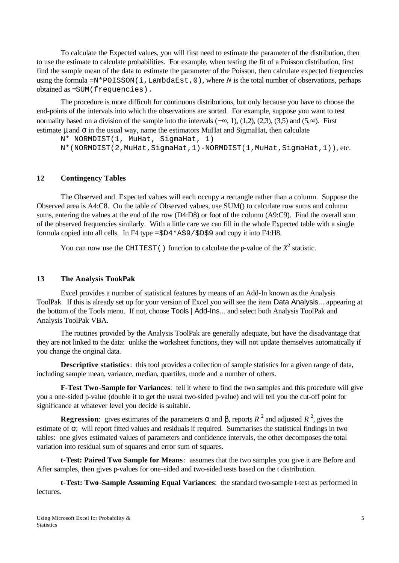To calculate the Expected values, you will first need to estimate the parameter of the distribution, then to use the estimate to calculate probabilities. For example, when testing the fit of a Poisson distribution, first find the sample mean of the data to estimate the parameter of the Poisson, then calculate expected frequencies using the formula  $=N*$  POISSON(i, LambdaEst, 0), where *N* is the total number of observations, perhaps obtained as =SUM(frequencies).

The procedure is more difficult for continuous distributions, but only because you have to choose the end-points of the intervals into which the observations are sorted. For example, suppose you want to test normality based on a division of the sample into the intervals ( $-\infty$ , 1), (1,2), (2,3), (3,5) and (5, $\infty$ ). First estimate  $\mu$  and  $\sigma$  in the usual way, name the estimators MuHat and SigmaHat, then calculate

N\* NORMDIST(1, MuHat, SigmaHat, 1) N\*(NORMDIST(2,MuHat,SigmaHat,1)-NORMDIST(1,MuHat,SigmaHat,1)), etc.

#### **12 Contingency Tables**

The Observed and Expected values will each occupy a rectangle rather than a column. Suppose the Observed area is A4:C8. On the table of Observed values, use SUM() to calculate row sums and column sums, entering the values at the end of the row (D4:D8) or foot of the column (A9:C9). Find the overall sum of the observed frequencies similarly. With a little care we can fill in the whole Expected table with a single formula copied into all cells. In F4 type =\$D4\*A\$9/\$D\$9 and copy it into F4:H8.

You can now use the CHITEST() function to calculate the p-value of the  $X^2$  statistic.

### **13 The Analysis TookPak**

Excel provides a number of statistical features by means of an Add-In known as the Analysis ToolPak. If this is already set up for your version of Excel you will see the item Data Analysis... appearing at the bottom of the Tools menu. If not, choose Tools | Add-Ins... and select both Analysis ToolPak and Analysis ToolPak VBA.

The routines provided by the Analysis ToolPak are generally adequate, but have the disadvantage that they are not linked to the data: unlike the worksheet functions, they will not update themselves automatically if you change the original data.

**Descriptive statistics**: this tool provides a collection of sample statistics for a given range of data, including sample mean, variance, median, quartiles, mode and a number of others.

**F-Test Two-Sample for Variances**: tell it where to find the two samples and this procedure will give you a one-sided p-value (double it to get the usual two-sided p-value) and will tell you the cut-off point for significance at whatever level you decide is suitable.

**Regression**: gives estimates of the parameters  $\alpha$  and  $\beta$ , reports  $R^2$  and adjusted  $R^2$ , gives the estimate of σ; will report fitted values and residuals if required. Summarises the statistical findings in two tables: one gives estimated values of parameters and confidence intervals, the other decomposes the total variation into residual sum of squares and error sum of squares.

**t-Test: Paired Two Sample for Means**: assumes that the two samples you give it are Before and After samples, then gives p-values for one-sided and two-sided tests based on the t distribution.

**t-Test: Two-Sample Assuming Equal Variances**: the standard two-sample t-test as performed in lectures.